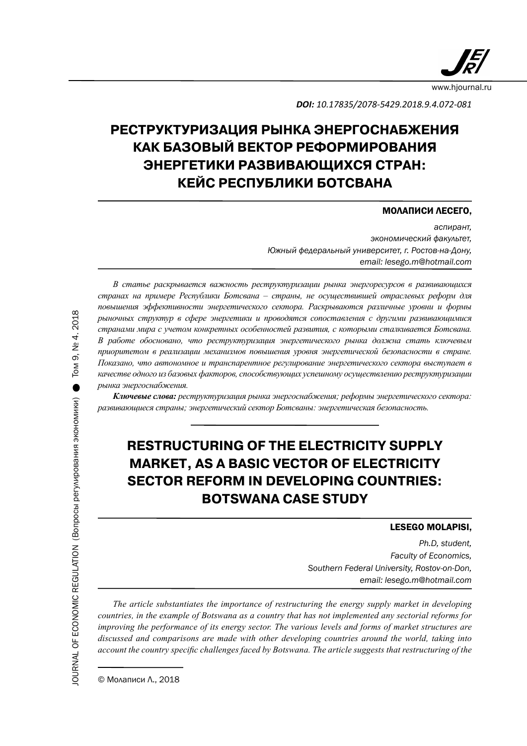

*DOI: 10.17835/2078-5429.2018.9.4.072-081* 

# **РЕСТРУКТУРИЗАЦИЯ РЫНКА ЭНЕРГОСНАБЖЕНИЯ КАК БАЗОВЫЙ ВЕКТОР РЕФОРМИРОВАНИЯ ЭНЕРГЕТИКИ РАЗВИВАЮЩИХСЯ СТРАН: КЕЙС РЕСПУБЛИКИ БОТСВАНА**

### МОЛАПИСИ ЛЕСЕГО,

*аспирант, экономический факультет, Южный федеральный университет, г. Ростов-на-Дону, email: lesego.m@hotmail.com*

*В статье раскрывается важность реструктуризации рынка энергоресурсов в развивающихся странах на примере Республики Ботсвана – страны, не осуществившей отраслевых реформ для повышения эффективности энергетического сектора. Раскрываются различные уровни и формы рыночных структур в сфере энергетики и проводятся сопоставления с другими развивающимися странами мира с учетом конкретных особенностей развития, с которыми сталкивается Ботсвана. В работе обосновано, что реструктуризация энергетического рынка должна стать ключевым приоритетом в реализации механизмов повышения уровня энергетической безопасности в стране. Показано, что автономное и транспарентное регулирование энергетического сектора выступает в качестве одного из базовых факторов, способствующих успешному осуществлению реструктуризации рынка энергоснабжения.*

*Ключевые слова: реструктуризация рынка энергоснабжения; реформы энергетического сектора: развивающиеся страны; энергетический сектор Ботсваны: энергетическая безопасность.*

# **RESTRUCTURING OF THE ELECTRICITY SUPPLY MARKET, AS A BASIC VECTOR OF ELECTRICITY SECTOR REFORM IN DEVELOPING COUNTRIES: BOTSWANA CASE STUDY**

#### LESEGO MOLAPISI,

*Ph.D, student, Faculty of Economics, Southern Federal University, Rostov-on-Don, email: lesego.m@hotmail.com*

*The article substantiates the importance of restructuring the energy supply market in developing countries, in the example of Botswana as a country that has not implemented any sectorial reforms for improving the performance of its energy sector. The various levels and forms of market structures are discussed and comparisons are made with other developing countries around the world, taking into account the country specific challenges faced by Botswana. The article suggests that restructuring of the*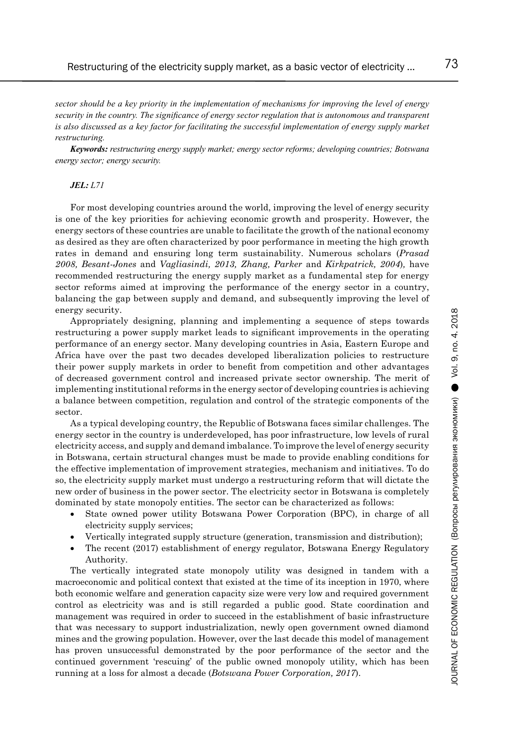*sector should be a key priority in the implementation of mechanisms for improving the level of energy security in the country. The significance of energy sector regulation that is autonomous and transparent is also discussed as a key factor for facilitating the successful implementation of energy supply market restructuring.* 

*Keywords: restructuring energy supply market; energy sector reforms; developing countries; Botswana energy sector; energy security.*

#### *JEL: L71*

For most developing countries around the world, improving the level of energy security is one of the key priorities for achieving economic growth and prosperity. However, the energy sectors of these countries are unable to facilitate the growth of the national economy as desired as they are often characterized by poor performance in meeting the high growth rates in demand and ensuring long term sustainability. Numerous scholars (*Prasad 2008, Besant-Jones* and *Vagliasindi, 2013, Zhang, Parker* and *Kirkpatrick, 2004*)*,* have recommended restructuring the energy supply market as a fundamental step for energy sector reforms aimed at improving the performance of the energy sector in a country, balancing the gap between supply and demand, and subsequently improving the level of energy security.

Appropriately designing, planning and implementing a sequence of steps towards restructuring a power supply market leads to significant improvements in the operating performance of an energy sector. Many developing countries in Asia, Eastern Europe and Africa have over the past two decades developed liberalization policies to restructure their power supply markets in order to benefit from competition and other advantages of decreased government control and increased private sector ownership. The merit of implementing institutional reforms in the energy sector of developing countries is achieving a balance between competition, regulation and control of the strategic components of the sector.

As a typical developing country, the Republic of Botswana faces similar challenges. The energy sector in the country is underdeveloped, has poor infrastructure, low levels of rural electricity access, and supply and demand imbalance. To improve the level of energy security in Botswana, certain structural changes must be made to provide enabling conditions for the effective implementation of improvement strategies, mechanism and initiatives. To do so, the electricity supply market must undergo a restructuring reform that will dictate the new order of business in the power sector. The electricity sector in Botswana is completely dominated by state monopoly entities. The sector can be characterized as follows:

- State owned power utility Botswana Power Corporation (BPC), in charge of all electricity supply services;
- Vertically integrated supply structure (generation, transmission and distribution);
- The recent (2017) establishment of energy regulator, Botswana Energy Regulatory Authority.

The vertically integrated state monopoly utility was designed in tandem with a macroeconomic and political context that existed at the time of its inception in 1970, where both economic welfare and generation capacity size were very low and required government control as electricity was and is still regarded a public good. State coordination and management was required in order to succeed in the establishment of basic infrastructure that was necessary to support industrialization, newly open government owned diamond mines and the growing population. However, over the last decade this model of management has proven unsuccessful demonstrated by the poor performance of the sector and the continued government 'rescuing' of the public owned monopoly utility, which has been running at a loss for almost a decade (*Botswana Power Corporation, 2017*).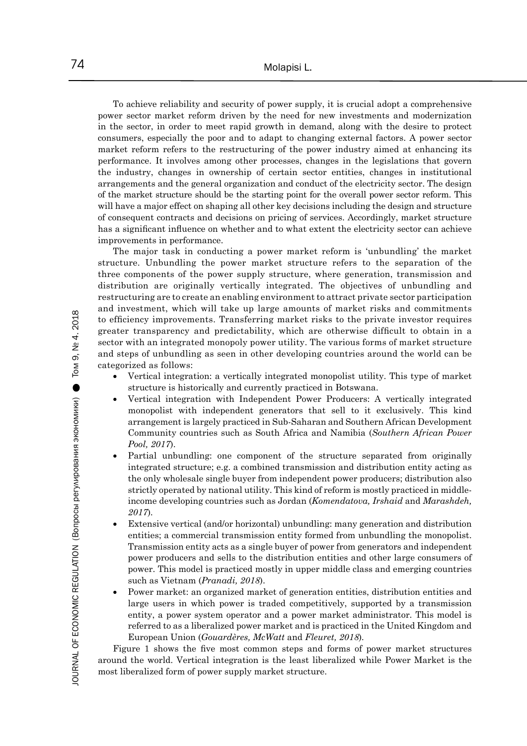To achieve reliability and security of power supply, it is crucial adopt a comprehensive power sector market reform driven by the need for new investments and modernization in the sector, in order to meet rapid growth in demand, along with the desire to protect consumers, especially the poor and to adapt to changing external factors. A power sector market reform refers to the restructuring of the power industry aimed at enhancing its performance. It involves among other processes, changes in the legislations that govern the industry, changes in ownership of certain sector entities, changes in institutional arrangements and the general organization and conduct of the electricity sector. The design of the market structure should be the starting point for the overall power sector reform. This will have a major effect on shaping all other key decisions including the design and structure of consequent contracts and decisions on pricing of services. Accordingly, market structure has a significant influence on whether and to what extent the electricity sector can achieve improvements in performance.

The major task in conducting a power market reform is 'unbundling' the market structure. Unbundling the power market structure refers to the separation of the three components of the power supply structure, where generation, transmission and distribution are originally vertically integrated. The objectives of unbundling and restructuring are to create an enabling environment to attract private sector participation and investment, which will take up large amounts of market risks and commitments to efficiency improvements. Transferring market risks to the private investor requires greater transparency and predictability, which are otherwise difficult to obtain in a sector with an integrated monopoly power utility. The various forms of market structure and steps of unbundling as seen in other developing countries around the world can be categorized as follows:

- Vertical integration: a vertically integrated monopolist utility. This type of market structure is historically and currently practiced in Botswana.
- Vertical integration with Independent Power Producers: A vertically integrated monopolist with independent generators that sell to it exclusively. This kind arrangement is largely practiced in Sub-Saharan and Southern African Development Community countries such as South Africa and Namibia (*Southern African Power Pool, 2017*).
- Partial unbundling: one component of the structure separated from originally integrated structure; e.g. a combined transmission and distribution entity acting as the only wholesale single buyer from independent power producers; distribution also strictly operated by national utility. This kind of reform is mostly practiced in middleincome developing countries such as Jordan (*Komendatova, Irshaid* and *Marashdeh, 2017*)*.*
- Extensive vertical (and/or horizontal) unbundling: many generation and distribution entities; a commercial transmission entity formed from unbundling the monopolist. Transmission entity acts as a single buyer of power from generators and independent power producers and sells to the distribution entities and other large consumers of power. This model is practiced mostly in upper middle class and emerging countries such as Vietnam (*Pranadi, 2018*).
- Power market: an organized market of generation entities, distribution entities and large users in which power is traded competitively, supported by a transmission entity, a power system operator and a power market administrator. This model is referred to as a liberalized power market and is practiced in the United Kingdom and European Union (*Gouardères, McWatt* and *Fleuret, 2018*)*.*

Figure 1 shows the five most common steps and forms of power market structures around the world. Vertical integration is the least liberalized while Power Market is the most liberalized form of power supply market structure.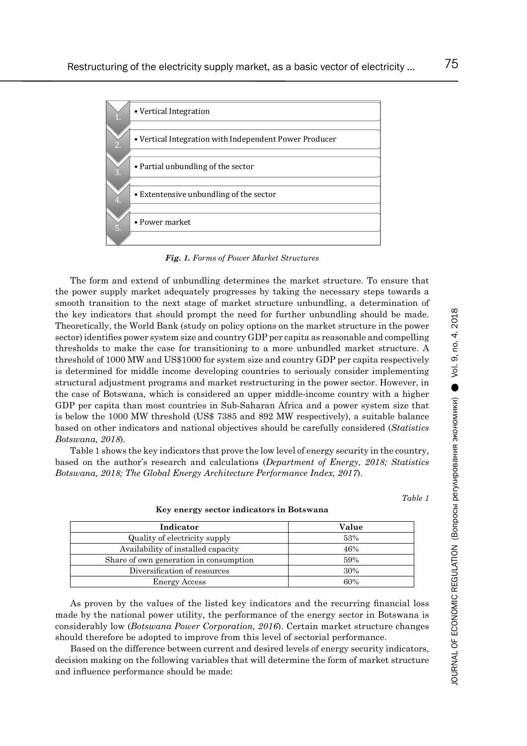

*Fig. 1. Forms of Power Market Structures*

The form and extend of unbundling determines the market structure. To ensure that the power supply market adequately progresses by taking the necessary steps towards a smooth transition to the next stage of market structure unbundling, a determination of the key indicators that should prompt the need for further unbundling should be made. Theoretically, the World Bank (study on policy options on the market structure in the power sector) identifies power system size and country GDP per capita as reasonable and compelling thresholds to make the case for transitioning to a more unbundled market structure. A threshold of 1000 MW and US\$1000 for system size and country GDP per capita respectively is determined for middle income developing countries to seriously consider implementing structural adjustment programs and market restructuring in the power sector. However, in the case of Botswana, which is considered an upper middle-income country with a higher GDP per capita than most countries in Sub-Saharan Africa and a power system size that is below the 1000 MW threshold (US\$ 7385 and 892 MW respectively), a suitable balance based on other indicators and national objectives should be carefully considered (*Statistics Botswana, 2018*)*.*

Table 1 shows the key indicators that prove the low level of energy security in the country, based on the author's research and calculations (*Department of Energy, 2018; Statistics Botswana, 2018; The Global Energy Architecture Performance Index, 2017*).

*Table 1*

| Indicator                              | Value |
|----------------------------------------|-------|
| Quality of electricity supply          | 53%   |
| Availability of installed capacity     | 46%   |
| Share of own generation in consumption | 59%   |
| Diversification of resources           | 30%   |
| <b>Energy Access</b>                   | 60%   |

**Key energy sector indicators in Botswana**

As proven by the values of the listed key indicators and the recurring financial loss made by the national power utility, the performance of the energy sector in Botswana is considerably low (*Botswana Power Corporation, 2016*). Certain market structure changes should therefore be adopted to improve from this level of sectorial performance.

Based on the difference between current and desired levels of energy security indicators, decision making on the following variables that will determine the form of market structure and influence performance should be made: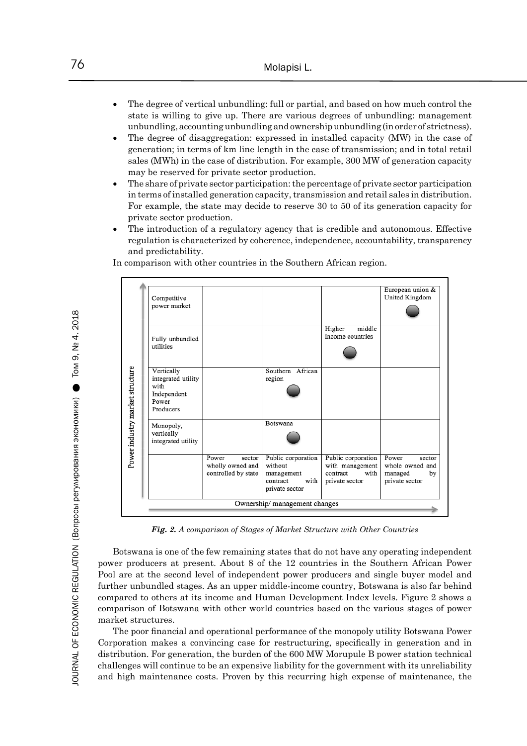- The degree of vertical unbundling: full or partial, and based on how much control the state is willing to give up. There are various degrees of unbundling: management unbundling, accounting unbundling and ownership unbundling (in order of strictness).
- The degree of disaggregation: expressed in installed capacity (MW) in the case of generation; in terms of km line length in the case of transmission; and in total retail sales (MWh) in the case of distribution. For example, 300 MW of generation capacity may be reserved for private sector production.
- The share of private sector participation: the percentage of private sector participation in terms of installed generation capacity, transmission and retail sales in distribution. For example, the state may decide to reserve 30 to 50 of its generation capacity for private sector production.
- The introduction of a regulatory agency that is credible and autonomous. Effective regulation is characterized by coherence, independence, accountability, transparency and predictability.

European union & Competitive United Kingdom power market Higher middle income countries Fully unbundled utilities Power industry market structure Vertically Southern African integrated utility region with Independent Power Producers Botswana Monopoly, vertically integrated utility Power Public corporation Public corporation Power sector sector wholly owned and whole owned and without with management controlled by state managed by management contract with contract with private sector private sector private sector Ownership/management changes

In comparison with other countries in the Southern African region.

*Fig. 2. A comparison of Stages of Market Structure with Other Countries*

Botswana is one of the few remaining states that do not have any operating independent power producers at present. About 8 of the 12 countries in the Southern African Power Pool are at the second level of independent power producers and single buyer model and further unbundled stages. As an upper middle-income country, Botswana is also far behind compared to others at its income and Human Development Index levels. Figure 2 shows a comparison of Botswana with other world countries based on the various stages of power market structures.

The poor financial and operational performance of the monopoly utility Botswana Power Corporation makes a convincing case for restructuring, specifically in generation and in distribution. For generation, the burden of the 600 MW Morupule B power station technical challenges will continue to be an expensive liability for the government with its unreliability and high maintenance costs. Proven by this recurring high expense of maintenance, the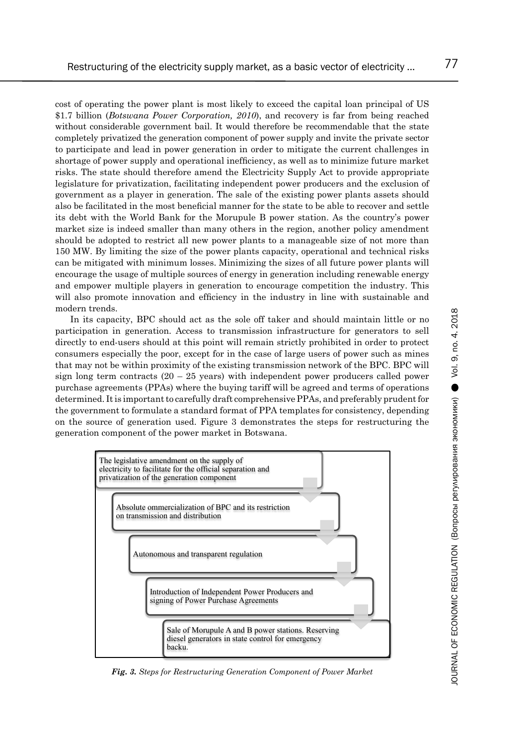cost of operating the power plant is most likely to exceed the capital loan principal of US \$1.7 billion (*Botswana Power Corporation, 2010*), and recovery is far from being reached without considerable government bail. It would therefore be recommendable that the state completely privatized the generation component of power supply and invite the private sector to participate and lead in power generation in order to mitigate the current challenges in shortage of power supply and operational inefficiency, as well as to minimize future market risks. The state should therefore amend the Electricity Supply Act to provide appropriate legislature for privatization, facilitating independent power producers and the exclusion of government as a player in generation. The sale of the existing power plants assets should also be facilitated in the most beneficial manner for the state to be able to recover and settle its debt with the World Bank for the Morupule B power station. As the country's power market size is indeed smaller than many others in the region, another policy amendment should be adopted to restrict all new power plants to a manageable size of not more than 150 MW. By limiting the size of the power plants capacity, operational and technical risks can be mitigated with minimum losses. Minimizing the sizes of all future power plants will encourage the usage of multiple sources of energy in generation including renewable energy and empower multiple players in generation to encourage competition the industry. This will also promote innovation and efficiency in the industry in line with sustainable and modern trends.

In its capacity, BPC should act as the sole off taker and should maintain little or no participation in generation. Access to transmission infrastructure for generators to sell directly to end-users should at this point will remain strictly prohibited in order to protect consumers especially the poor, except for in the case of large users of power such as mines that may not be within proximity of the existing transmission network of the BPC. BPC will sign long term contracts  $(20 - 25$  years) with independent power producers called power purchase agreements (PPAs) where the buying tariff will be agreed and terms of operations determined. It is important to carefully draft comprehensive PPAs, and preferably prudent for the government to formulate a standard format of PPA templates for consistency, depending on the source of generation used. Figure 3 demonstrates the steps for restructuring the generation component of the power market in Botswana.



*Fig. 3. Steps for Restructuring Generation Component of Power Market*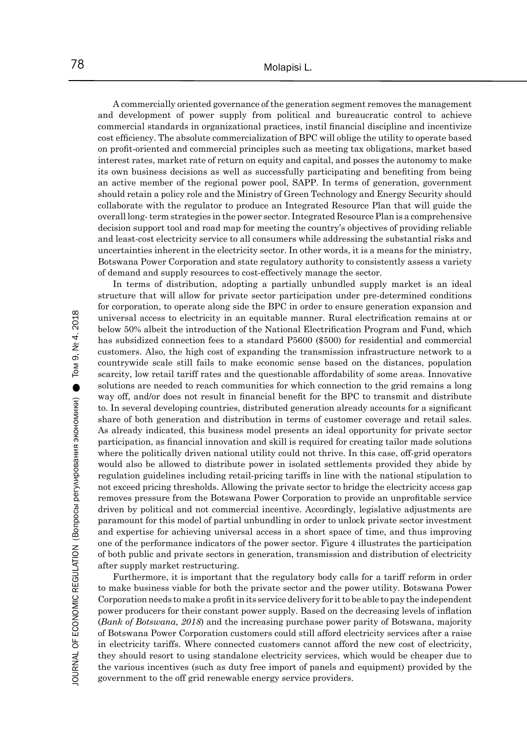A commercially oriented governance of the generation segment removes the management and development of power supply from political and bureaucratic control to achieve commercial standards in organizational practices, instil financial discipline and incentivize cost efficiency. The absolute commercialization of BPC will oblige the utility to operate based on profit-oriented and commercial principles such as meeting tax obligations, market based interest rates, market rate of return on equity and capital, and posses the autonomy to make its own business decisions as well as successfully participating and benefiting from being an active member of the regional power pool, SAPP. In terms of generation, government should retain a policy role and the Ministry of Green Technology and Energy Security should collaborate with the regulator to produce an Integrated Resource Plan that will guide the overall long- term strategies in the power sector. Integrated Resource Plan is a comprehensive decision support tool and road map for meeting the country's objectives of providing reliable and least-cost electricity service to all consumers while addressing the substantial risks and uncertainties inherent in the electricity sector. In other words, it is a means for the ministry, Botswana Power Corporation and state regulatory authority to consistently assess a variety of demand and supply resources to cost-effectively manage the sector.

In terms of distribution, adopting a partially unbundled supply market is an ideal structure that will allow for private sector participation under pre-determined conditions for corporation, to operate along side the BPC in order to ensure generation expansion and universal access to electricity in an equitable manner. Rural electrification remains at or below 50% albeit the introduction of the National Electrification Program and Fund, which has subsidized connection fees to a standard P5600 (\$500) for residential and commercial customers. Also, the high cost of expanding the transmission infrastructure network to a countrywide scale still fails to make economic sense based on the distances, population scarcity, low retail tariff rates and the questionable affordability of some areas. Innovative solutions are needed to reach communities for which connection to the grid remains a long way off, and/or does not result in financial benefit for the BPC to transmit and distribute to. In several developing countries, distributed generation already accounts for a significant share of both generation and distribution in terms of customer coverage and retail sales. As already indicated, this business model presents an ideal opportunity for private sector participation, as financial innovation and skill is required for creating tailor made solutions where the politically driven national utility could not thrive. In this case, off-grid operators would also be allowed to distribute power in isolated settlements provided they abide by regulation guidelines including retail-pricing tariffs in line with the national stipulation to not exceed pricing thresholds. Allowing the private sector to bridge the electricity access gap removes pressure from the Botswana Power Corporation to provide an unprofitable service driven by political and not commercial incentive. Accordingly, legislative adjustments are paramount for this model of partial unbundling in order to unlock private sector investment and expertise for achieving universal access in a short space of time, and thus improving one of the performance indicators of the power sector. Figure 4 illustrates the participation of both public and private sectors in generation, transmission and distribution of electricity after supply market restructuring.

Furthermore, it is important that the regulatory body calls for a tariff reform in order to make business viable for both the private sector and the power utility. Botswana Power Corporation needs to make a profit in its service delivery for it to be able to pay the independent power producers for their constant power supply. Based on the decreasing levels of inflation (*Bank of Botswana, 2018*) and the increasing purchase power parity of Botswana, majority of Botswana Power Corporation customers could still afford electricity services after a raise in electricity tariffs. Where connected customers cannot afford the new cost of electricity, they should resort to using standalone electricity services, which would be cheaper due to the various incentives (such as duty free import of panels and equipment) provided by the government to the off grid renewable energy service providers.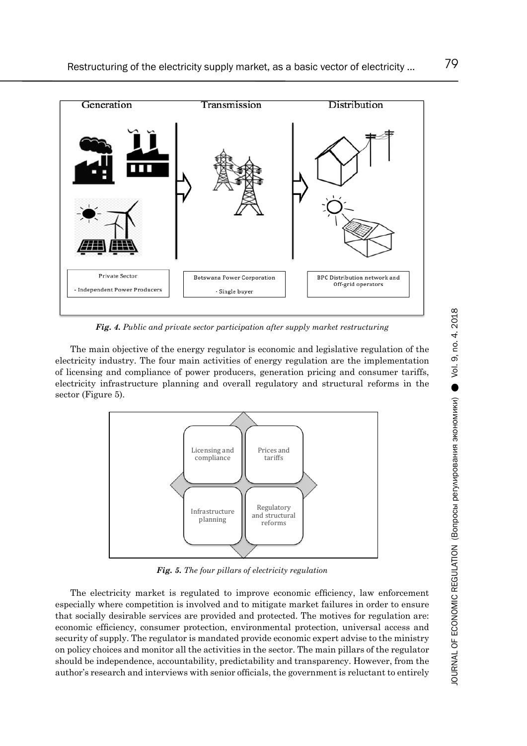

*Fig. 4. Public and private sector participation after supply market restructuring*

The main objective of the energy regulator is economic and legislative regulation of the electricity industry. The four main activities of energy regulation are the implementation of licensing and compliance of power producers, generation pricing and consumer tariffs, electricity infrastructure planning and overall regulatory and structural reforms in the sector (Figure 5).



*Fig. 5. The four pillars of electricity regulation*

The electricity market is regulated to improve economic efficiency, law enforcement especially where competition is involved and to mitigate market failures in order to ensure that socially desirable services are provided and protected. The motives for regulation are: economic efficiency, consumer protection, environmental protection, universal access and security of supply. The regulator is mandated provide economic expert advise to the ministry on policy choices and monitor all the activities in the sector. The main pillars of the regulator should be independence, accountability, predictability and transparency. However, from the author's research and interviews with senior officials, the government is reluctant to entirely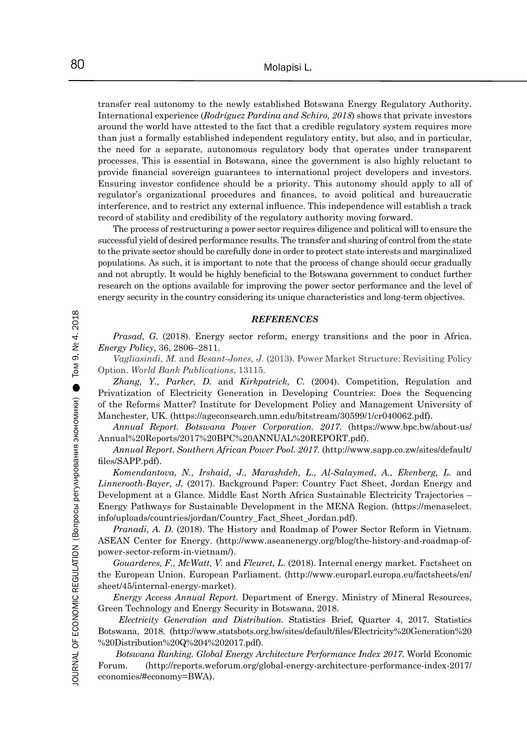transfer real autonomy to the newly established Botswana Energy Regulatory Authority. International experience (*Rodríguez Pardina and Schiro, 2018*) shows that private investors around the world have attested to the fact that a credible regulatory system requires more than just a formally established independent regulatory entity, but also, and in particular, the need for a separate, autonomous regulatory body that operates under transparent processes. This is essential in Botswana, since the government is also highly reluctant to provide financial sovereign guarantees to international project developers and investors. Ensuring investor confidence should be a priority. This autonomy should apply to all of regulator's organizational procedures and finances, to avoid political and bureaucratic interference, and to restrict any external influence. This independence will establish a track record of stability and credibility of the regulatory authority moving forward.

The process of restructuring a power sector requires diligence and political will to ensure the successful yield of desired performance results. The transfer and sharing of control from the state to the private sector should be carefully done in order to protect state interests and marginalized populations. As such, it is important to note that the process of change should occur gradually and not abruptly. It would be highly beneficial to the Botswana government to conduct further research on the options available for improving the power sector performance and the level of energy security in the country considering its unique characteristics and long-term objectives.

*REFERENCES*

*Prasad, G.* (2018). Energy sector reform, energy transitions and the poor in Africa. *Energy Policy*, 36, 2806–2811.

*Vagliasindi, M.* and *Besant-Jones, J.* (2013). Power Market Structure: Revisiting Policy Option. *World Bank Publications*, 13115.

*Zhang, Y., Parker, D.* and *Kirkpatrick, C.* (2004). Competition, Regulation and Privatization of Electricity Generation in Developing Countries: Does the Sequencing of the Reforms Matter? Institute for Development Policy and Management University of Manchester, UK. (https://ageconsearch.umn.edu/bitstream/30599/1/cr040062.pdf).

*Annual Report. Botswana Power Corporation. 2017.* (https://www.bpc.bw/about-us/ Annual%20Reports/2017%20BPC%20ANNUAL%20REPORT.pdf).

*Annual Report. Southern African Power Pool. 2017.* (http://www.sapp.co.zw/sites/default/ files/SAPP.pdf).

*Komendantova, N., Irshaid, J., Marashdeh, L., Al-Salaymed, A., Ekenberg, L.* and *Linnerooth-Bayer, J.* (2017). Background Paper: Country Fact Sheet, Jordan Energy and Development at a Glance. Middle East North Africa Sustainable Electricity Trajectories – Energy Pathways for Sustainable Development in the MENA Region. (https://menaselect. info/uploads/countries/jordan/Country\_Fact\_Sheet\_Jordan.pdf).

*Pranadi, A. D.* (2018). The History and Roadmap of Power Sector Reform in Vietnam. ASEAN Center for Energy. (http://www.aseanenergy.org/blog/the-history-and-roadmap-ofpower-sector-reform-in-vietnam/).

*Gouarderes, F., McWatt, V.* and *Fleuret, L.* (2018). Internal energy market. Factsheet on the European Union. European Parliament. (http://www.europarl.europa.eu/factsheets/en/ sheet/45/internal-energy-market).

*Energy Access Annual Report.* Department of Energy. Ministry of Mineral Resources, Green Technology and Energy Security in Botswana, 2018.

*Electricity Generation and Distribution.* Statistics Brief, Quarter 4, 2017. Statistics Botswana, 2018. (http://www.statsbots.org.bw/sites/default/files/Electricity%20Generation%20 %20Distribution%20Q%204%202017.pdf).

*Botswana Ranking. Global Energy Architecture Performance Index 2017*. World Economic Forum. (http://reports.weforum.org/global-energy-architecture-performance-index-2017/ economies/#economy=BWA).